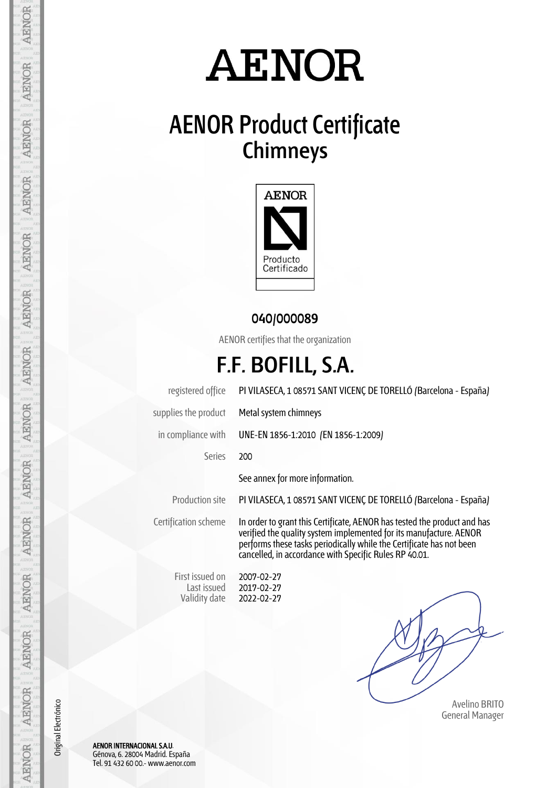# **AENOR**

## **AENOR Product Certificate Chimneys**



#### **040/000089**

AENOR certifies that the organization

### **F.F. BOFILL, S.A.**

registered office PI VILASECA, 1 08571 SANT VICENÇ DE TORELLÓ (Barcelona - España) supplies the product Metal system chimneys in compliance with UNE-EN 1856-1:2010 (EN 1856-1:2009) Series 200 See annex for more information. Production site PI VILASECA, 1 08571 SANT VICENÇ DE TORELLÓ (Barcelona - España) Certification scheme In order to grant this Certificate, AENOR has tested the product and has verified the quality system implemented for its manufacture. AENOR performs these tasks periodically while the Certificate has not been cancelled, in accordance with Specific Rules RP 40.01.

 Avelino BRITO General Manager

AENOR INTERNACIONAL S.A.U. Génova, 6. 28004 Madrid. España Tel. 91 432 60 00.- www.aenor.com

First issued on Last issued Validity date 2007-02-27 2017-02-27 2022-02-27

AENOR

**AENOR** 

**AENOR** 

**AENOR** 

**AENOR** 

AENOR

**AENOR** 

**AENOR** 

**AENOR** 

AENOR

**AENOR** 

**AENOR** 

AENOR

AENOR

Original Electrónico

Original Electrónico